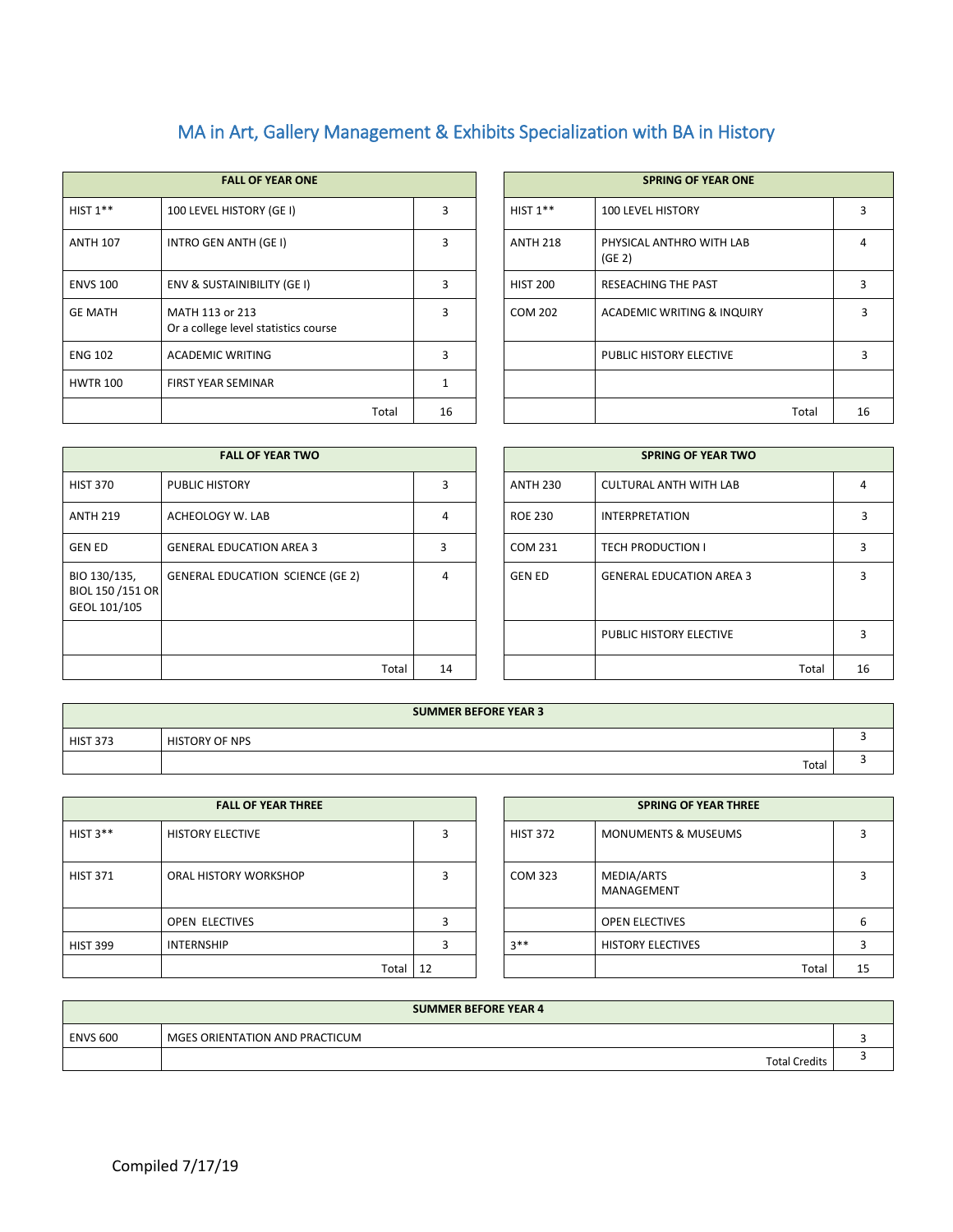## MA in Art, Gallery Management & Exhibits Specialization with BA in History

|                 | <b>FALL OF YEAR ONE</b>                                 |       |              |                 | <b>SPRING OF YEAR ONE</b>          |
|-----------------|---------------------------------------------------------|-------|--------------|-----------------|------------------------------------|
| HIST $1**$      | 100 LEVEL HISTORY (GE I)                                |       | ξ            | HIST $1**$      | <b>100 LEVEL HISTORY</b>           |
| <b>ANTH 107</b> | INTRO GEN ANTH (GE I)                                   |       | ξ            | <b>ANTH 218</b> | PHYSICAL ANTHRO WITH LAB<br>(GE 2) |
| <b>ENVS 100</b> | ENV & SUSTAINIBILITY (GE I)                             |       | 3            | <b>HIST 200</b> | <b>RESEACHING THE PAST</b>         |
| <b>GE MATH</b>  | MATH 113 or 213<br>Or a college level statistics course |       | $\mathbf{3}$ | <b>COM 202</b>  | ACADEMIC WRITING & INQUIRY         |
| <b>ENG 102</b>  | <b>ACADEMIC WRITING</b>                                 |       | 3            |                 | PUBLIC HISTORY ELECTIVE            |
| <b>HWTR 100</b> | <b>FIRST YEAR SEMINAR</b>                               |       |              |                 |                                    |
|                 |                                                         | Total | 16           |                 | Total                              |

|       |    |                 | <b>SPRING OF YEAR ONE</b>          |    |
|-------|----|-----------------|------------------------------------|----|
|       | 3  | HIST $1**$      | <b>100 LEVEL HISTORY</b>           | 3  |
|       | 3  | <b>ANTH 218</b> | PHYSICAL ANTHRO WITH LAB<br>(GE 2) | 4  |
|       | 3  | <b>HIST 200</b> | <b>RESEACHING THE PAST</b>         | 3  |
|       | 3  | <b>COM 202</b>  | ACADEMIC WRITING & INQUIRY         | 3  |
|       | 3  |                 | PUBLIC HISTORY ELECTIVE            | 3  |
|       | 1  |                 |                                    |    |
| Total | 16 |                 | Total                              | 16 |

|                                                  | <b>FALL OF YEAR TWO</b>                 |       |    |                 | <b>SPRING OF YEAR TWO</b>       |    |
|--------------------------------------------------|-----------------------------------------|-------|----|-----------------|---------------------------------|----|
| <b>HIST 370</b>                                  | <b>PUBLIC HISTORY</b>                   |       | 3  | <b>ANTH 230</b> | <b>CULTURAL ANTH WITH LAB</b>   | 4  |
| <b>ANTH 219</b>                                  | ACHEOLOGY W. LAB                        |       | 4  | <b>ROE 230</b>  | <b>INTERPRETATION</b>           |    |
| <b>GEN ED</b>                                    | <b>GENERAL EDUCATION AREA 3</b>         |       | ς  | COM 231         | <b>TECH PRODUCTION I</b>        | 3  |
| BIO 130/135,<br>BIOL 150 /151 OR<br>GEOL 101/105 | <b>GENERAL EDUCATION SCIENCE (GE 2)</b> |       | 4  | <b>GEN ED</b>   | <b>GENERAL EDUCATION AREA 3</b> | 3  |
|                                                  |                                         |       |    |                 | PUBLIC HISTORY ELECTIVE         | 3  |
|                                                  |                                         | Total | 14 |                 | Total                           | 16 |

| <b>FALL OF YEAR TWO</b>          |    |  |                 | <b>SPRING OF YEAR TWO</b>       |    |  |  |  |
|----------------------------------|----|--|-----------------|---------------------------------|----|--|--|--|
| PUBLIC HISTORY                   | 3  |  | <b>ANTH 230</b> | <b>CULTURAL ANTH WITH LAB</b>   |    |  |  |  |
| ACHEOLOGY W. LAB                 | 4  |  | <b>ROE 230</b>  | <b>INTERPRETATION</b>           |    |  |  |  |
| <b>GENERAL EDUCATION AREA 3</b>  | 3  |  | COM 231         | <b>TECH PRODUCTION I</b>        |    |  |  |  |
| GENERAL EDUCATION SCIENCE (GE 2) | 4  |  | <b>GEN ED</b>   | <b>GENERAL EDUCATION AREA 3</b> |    |  |  |  |
|                                  |    |  |                 |                                 |    |  |  |  |
|                                  |    |  |                 | PUBLIC HISTORY ELECTIVE         |    |  |  |  |
| Total                            | 14 |  |                 | Total                           | 16 |  |  |  |

|                 | <b>SUMMER BEFORE YEAR 3</b> |  |
|-----------------|-----------------------------|--|
| <b>HIST 373</b> | <b>HISTORY OF NPS</b>       |  |
|                 | Total                       |  |

| <b>FALL OF YEAR THREE</b> |                         |    | <b>SPRING OF YEAR THREE</b> |                                |    |
|---------------------------|-------------------------|----|-----------------------------|--------------------------------|----|
| HIST $3**$                | <b>HISTORY ELECTIVE</b> |    | <b>HIST 372</b>             | <b>MONUMENTS &amp; MUSEUMS</b> | 3  |
| <b>HIST 371</b>           | ORAL HISTORY WORKSHOP   | 3  | COM 323                     | MEDIA/ARTS<br>MANAGEMENT       | 3  |
|                           | OPEN ELECTIVES          | о  |                             | <b>OPEN ELECTIVES</b>          | 6  |
| <b>HIST 399</b>           | <b>INTERNSHIP</b>       |    | $3**$                       | <b>HISTORY ELECTIVES</b>       | 3  |
|                           | Total                   | 12 |                             | Total                          | 1! |

| <b>FALL OF YEAR THREE</b> |    |                 | <b>SPRING OF YEAR THREE</b>    |       |    |
|---------------------------|----|-----------------|--------------------------------|-------|----|
| <b>HISTORY ELECTIVE</b>   | 3  | <b>HIST 372</b> | <b>MONUMENTS &amp; MUSEUMS</b> |       |    |
| ORAL HISTORY WORKSHOP     | 3  | COM 323         | MEDIA/ARTS<br>MANAGEMENT       |       |    |
| OPEN ELECTIVES            | 3  |                 | <b>OPEN ELECTIVES</b>          |       | 6  |
| INTERNSHIP                | ς  | $3**$           | <b>HISTORY ELECTIVES</b>       |       |    |
| Total                     | 12 |                 |                                | Total | 15 |

| <b>SUMMER BEFORE YEAR 4</b> |                                |  |  |  |  |  |  |
|-----------------------------|--------------------------------|--|--|--|--|--|--|
| <b>ENVS 600</b>             | MGES ORIENTATION AND PRACTICUM |  |  |  |  |  |  |
|                             | <b>Total Credits</b>           |  |  |  |  |  |  |